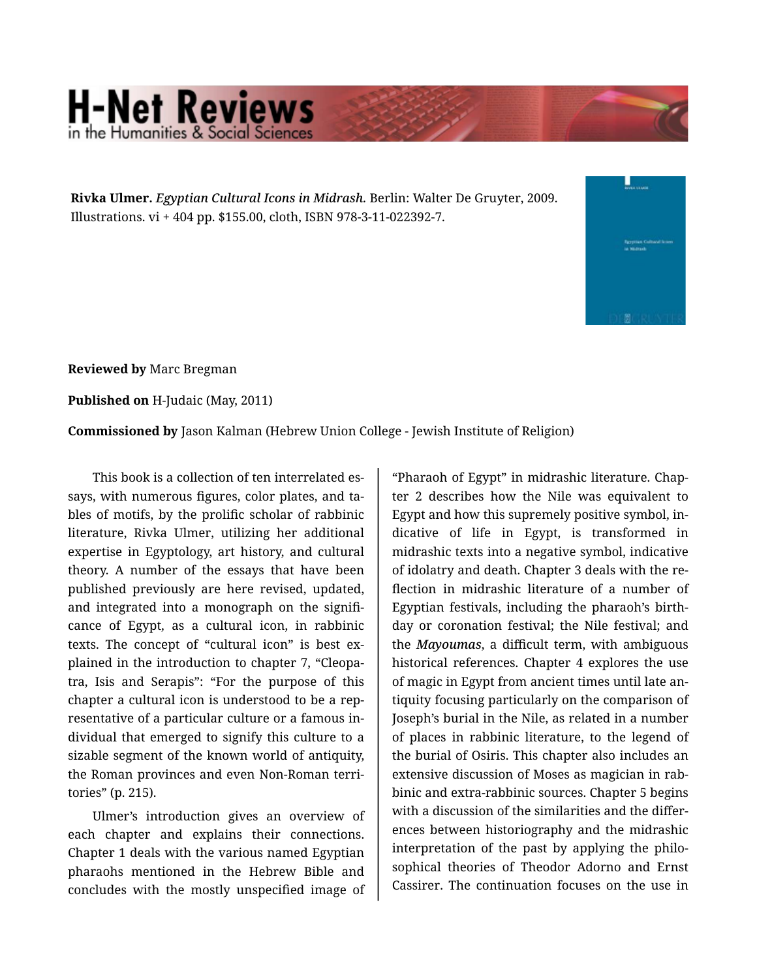## **H-Net Reviews** in the Humanities & Social S

**Rivka Ulmer.** *Egyptian Cultural Icons in Midrash.* Berlin: Walter De Gruyter, 2009. Illustrations. vi + 404 pp. \$155.00, cloth, ISBN 978-3-11-022392-7.



**Reviewed by** Marc Bregman

**Published on** H-Judaic (May, 2011)

**Commissioned by** Jason Kalman (Hebrew Union College - Jewish Institute of Religion)

This book is a collection of ten interrelated es‐ says, with numerous figures, color plates, and ta‐ bles of motifs, by the prolific scholar of rabbinic literature, Rivka Ulmer, utilizing her additional expertise in Egyptology, art history, and cultural theory. A number of the essays that have been published previously are here revised, updated, and integrated into a monograph on the signifi‐ cance of Egypt, as a cultural icon, in rabbinic texts. The concept of "cultural icon" is best ex‐ plained in the introduction to chapter 7, "Cleopa‐ tra, Isis and Serapis": "For the purpose of this chapter a cultural icon is understood to be a rep‐ resentative of a particular culture or a famous in‐ dividual that emerged to signify this culture to a sizable segment of the known world of antiquity, the Roman provinces and even Non-Roman terri‐ tories" (p. 215).

Ulmer's introduction gives an overview of each chapter and explains their connections. Chapter 1 deals with the various named Egyptian pharaohs mentioned in the Hebrew Bible and concludes with the mostly unspecified image of

"Pharaoh of Egypt" in midrashic literature. Chap‐ ter 2 describes how the Nile was equivalent to Egypt and how this supremely positive symbol, in‐ dicative of life in Egypt, is transformed in midrashic texts into a negative symbol, indicative of idolatry and death. Chapter 3 deals with the re‐ flection in midrashic literature of a number of Egyptian festivals, including the pharaoh's birth‐ day or coronation festival; the Nile festival; and the *Mayoumas*, a difficult term, with ambiguous historical references. Chapter 4 explores the use of magic in Egypt from ancient times until late an‐ tiquity focusing particularly on the comparison of Joseph's burial in the Nile, as related in a number of places in rabbinic literature, to the legend of the burial of Osiris. This chapter also includes an extensive discussion of Moses as magician in rab‐ binic and extra-rabbinic sources. Chapter 5 begins with a discussion of the similarities and the differences between historiography and the midrashic interpretation of the past by applying the philo‐ sophical theories of Theodor Adorno and Ernst Cassirer. The continuation focuses on the use in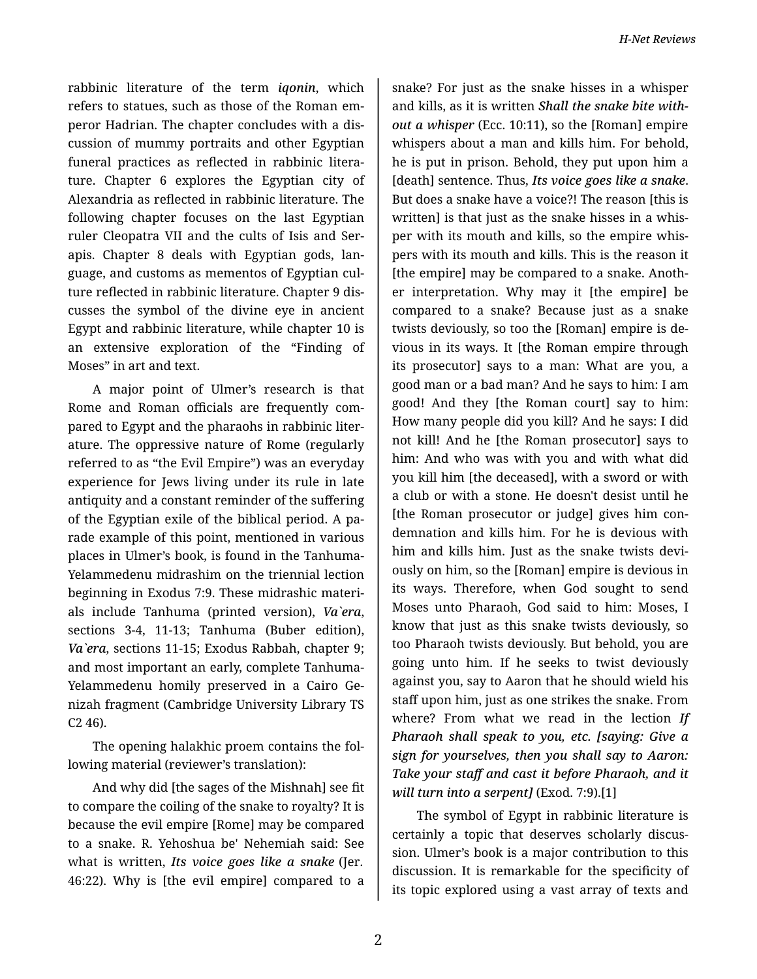rabbinic literature of the term *iqonin*, which refers to statues, such as those of the Roman em‐ peror Hadrian. The chapter concludes with a dis‐ cussion of mummy portraits and other Egyptian funeral practices as reflected in rabbinic litera‐ ture. Chapter 6 explores the Egyptian city of Alexandria as reflected in rabbinic literature. The following chapter focuses on the last Egyptian ruler Cleopatra VII and the cults of Isis and Ser‐ apis. Chapter 8 deals with Egyptian gods, lan‐ guage, and customs as mementos of Egyptian cul‐ ture reflected in rabbinic literature. Chapter 9 dis‐ cusses the symbol of the divine eye in ancient Egypt and rabbinic literature, while chapter 10 is an extensive exploration of the "Finding of Moses" in art and text.

A major point of Ulmer's research is that Rome and Roman officials are frequently com‐ pared to Egypt and the pharaohs in rabbinic liter‐ ature. The oppressive nature of Rome (regularly referred to as "the Evil Empire") was an everyday experience for Jews living under its rule in late antiquity and a constant reminder of the suffering of the Egyptian exile of the biblical period. A pa‐ rade example of this point, mentioned in various places in Ulmer's book, is found in the Tanhuma-Yelammedenu midrashim on the triennial lection beginning in Exodus 7:9. These midrashic materi‐ als include Tanhuma (printed version), *Va`era*, sections 3-4, 11-13; Tanhuma (Buber edition), *Va`era*, sections 11-15; Exodus Rabbah, chapter 9; and most important an early, complete Tanhuma-Yelammedenu homily preserved in a Cairo Ge‐ nizah fragment (Cambridge University Library TS C2 46).

The opening halakhic proem contains the fol‐ lowing material (reviewer's translation):

And why did [the sages of the Mishnah] see fit to compare the coiling of the snake to royalty? It is because the evil empire [Rome] may be compared to a snake. R. Yehoshua be' Nehemiah said: See what is written, *Its voice goes like a snake* (Jer. 46:22). Why is [the evil empire] compared to a

snake? For just as the snake hisses in a whisper and kills, as it is written *Shall the snake bite with‐ out a whisper* (Ecc. 10:11), so the [Roman] empire whispers about a man and kills him. For behold, he is put in prison. Behold, they put upon him a [death] sentence. Thus, *Its voice goes like a snake*. But does a snake have a voice?! The reason [this is written] is that just as the snake hisses in a whisper with its mouth and kills, so the empire whis‐ pers with its mouth and kills. This is the reason it [the empire] may be compared to a snake. Anoth‐ er interpretation. Why may it [the empire] be compared to a snake? Because just as a snake twists deviously, so too the [Roman] empire is de‐ vious in its ways. It [the Roman empire through its prosecutor] says to a man: What are you, a good man or a bad man? And he says to him: I am good! And they [the Roman court] say to him: How many people did you kill? And he says: I did not kill! And he [the Roman prosecutor] says to him: And who was with you and with what did you kill him [the deceased], with a sword or with a club or with a stone. He doesn't desist until he [the Roman prosecutor or judge] gives him con‐ demnation and kills him. For he is devious with him and kills him. Just as the snake twists devi‐ ously on him, so the [Roman] empire is devious in its ways. Therefore, when God sought to send Moses unto Pharaoh, God said to him: Moses, I know that just as this snake twists deviously, so too Pharaoh twists deviously. But behold, you are going unto him. If he seeks to twist deviously against you, say to Aaron that he should wield his staff upon him, just as one strikes the snake. From where? From what we read in the lection *If Pharaoh shall speak to you, etc. [saying: Give a sign for yourselves, then you shall say to Aaron: Take your staff and cast it before Pharaoh, and it will turn into a serpent]* (Exod. 7:9).[1]

The symbol of Egypt in rabbinic literature is certainly a topic that deserves scholarly discus‐ sion. Ulmer's book is a major contribution to this discussion. It is remarkable for the specificity of its topic explored using a vast array of texts and